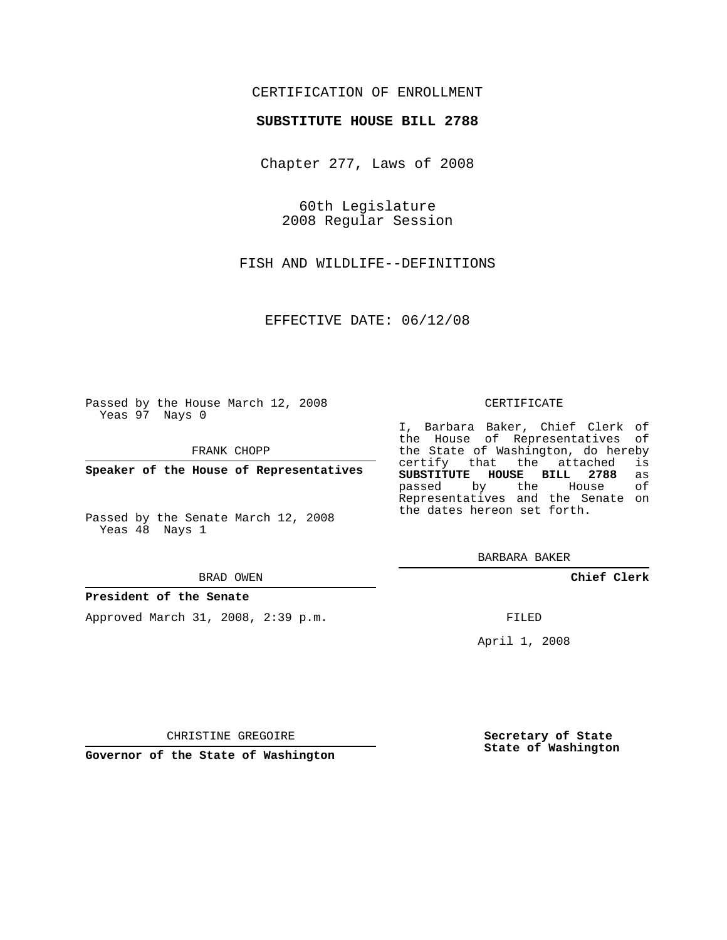# CERTIFICATION OF ENROLLMENT

### **SUBSTITUTE HOUSE BILL 2788**

Chapter 277, Laws of 2008

60th Legislature 2008 Regular Session

FISH AND WILDLIFE--DEFINITIONS

EFFECTIVE DATE: 06/12/08

Passed by the House March 12, 2008 Yeas 97 Nays 0

FRANK CHOPP

**Speaker of the House of Representatives**

Passed by the Senate March 12, 2008 Yeas 48 Nays 1

BRAD OWEN

### **President of the Senate**

Approved March 31, 2008, 2:39 p.m.

#### CERTIFICATE

I, Barbara Baker, Chief Clerk of the House of Representatives of the State of Washington, do hereby<br>certify that the attached is certify that the attached **SUBSTITUTE HOUSE BILL 2788** as passed by the House Representatives and the Senate on the dates hereon set forth.

BARBARA BAKER

**Chief Clerk**

FILED

April 1, 2008

CHRISTINE GREGOIRE

**Governor of the State of Washington**

**Secretary of State State of Washington**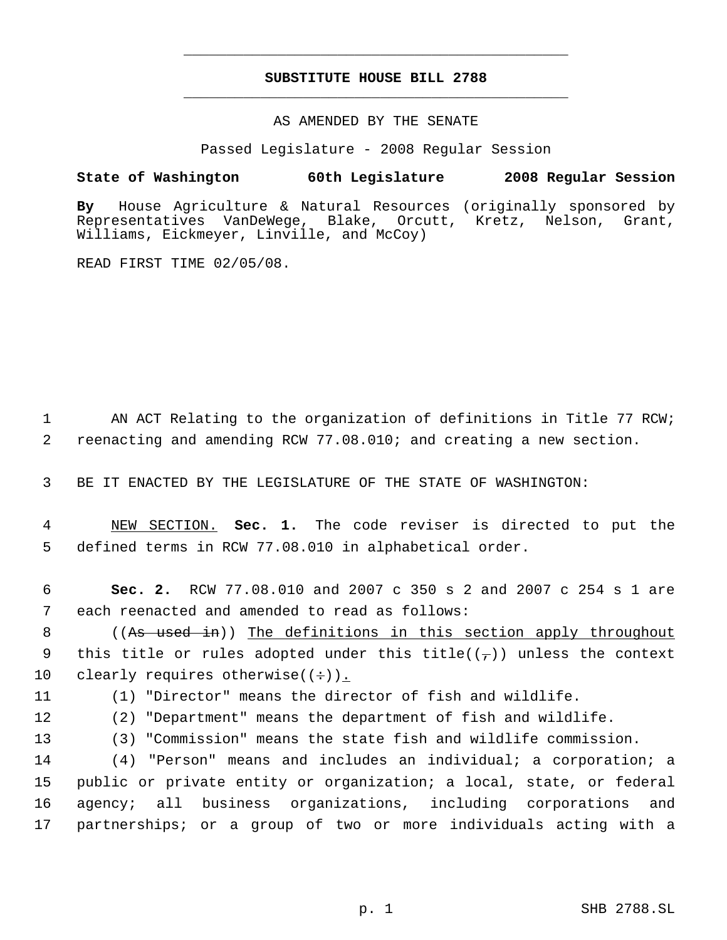# **SUBSTITUTE HOUSE BILL 2788** \_\_\_\_\_\_\_\_\_\_\_\_\_\_\_\_\_\_\_\_\_\_\_\_\_\_\_\_\_\_\_\_\_\_\_\_\_\_\_\_\_\_\_\_\_

\_\_\_\_\_\_\_\_\_\_\_\_\_\_\_\_\_\_\_\_\_\_\_\_\_\_\_\_\_\_\_\_\_\_\_\_\_\_\_\_\_\_\_\_\_

### AS AMENDED BY THE SENATE

Passed Legislature - 2008 Regular Session

## **State of Washington 60th Legislature 2008 Regular Session**

**By** House Agriculture & Natural Resources (originally sponsored by Blake, Orcutt, Kretz, Nelson, Grant, Williams, Eickmeyer, Linville, and McCoy)

READ FIRST TIME 02/05/08.

1 AN ACT Relating to the organization of definitions in Title 77 RCW; 2 reenacting and amending RCW 77.08.010; and creating a new section.

3 BE IT ENACTED BY THE LEGISLATURE OF THE STATE OF WASHINGTON:

 4 NEW SECTION. **Sec. 1.** The code reviser is directed to put the 5 defined terms in RCW 77.08.010 in alphabetical order.

 6 **Sec. 2.** RCW 77.08.010 and 2007 c 350 s 2 and 2007 c 254 s 1 are 7 each reenacted and amended to read as follows:

8 ((As used in)) The definitions in this section apply throughout 9 this title or rules adopted under this title( $(\tau)$ ) unless the context 10 clearly requires otherwise( $(+)$ ).

11 (1) "Director" means the director of fish and wildlife.

12 (2) "Department" means the department of fish and wildlife.

13 (3) "Commission" means the state fish and wildlife commission.

 (4) "Person" means and includes an individual; a corporation; a public or private entity or organization; a local, state, or federal agency; all business organizations, including corporations and partnerships; or a group of two or more individuals acting with a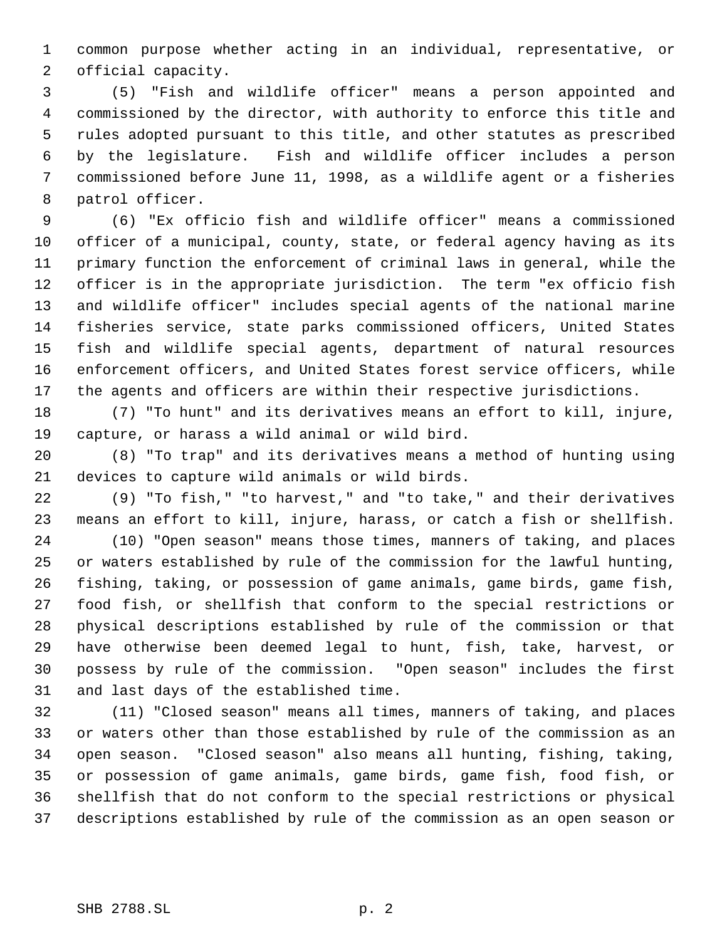common purpose whether acting in an individual, representative, or official capacity.

 (5) "Fish and wildlife officer" means a person appointed and commissioned by the director, with authority to enforce this title and rules adopted pursuant to this title, and other statutes as prescribed by the legislature. Fish and wildlife officer includes a person commissioned before June 11, 1998, as a wildlife agent or a fisheries patrol officer.

 (6) "Ex officio fish and wildlife officer" means a commissioned officer of a municipal, county, state, or federal agency having as its primary function the enforcement of criminal laws in general, while the officer is in the appropriate jurisdiction. The term "ex officio fish and wildlife officer" includes special agents of the national marine fisheries service, state parks commissioned officers, United States fish and wildlife special agents, department of natural resources enforcement officers, and United States forest service officers, while the agents and officers are within their respective jurisdictions.

 (7) "To hunt" and its derivatives means an effort to kill, injure, capture, or harass a wild animal or wild bird.

 (8) "To trap" and its derivatives means a method of hunting using devices to capture wild animals or wild birds.

 (9) "To fish," "to harvest," and "to take," and their derivatives means an effort to kill, injure, harass, or catch a fish or shellfish.

 (10) "Open season" means those times, manners of taking, and places or waters established by rule of the commission for the lawful hunting, fishing, taking, or possession of game animals, game birds, game fish, food fish, or shellfish that conform to the special restrictions or physical descriptions established by rule of the commission or that have otherwise been deemed legal to hunt, fish, take, harvest, or possess by rule of the commission. "Open season" includes the first and last days of the established time.

 (11) "Closed season" means all times, manners of taking, and places or waters other than those established by rule of the commission as an open season. "Closed season" also means all hunting, fishing, taking, or possession of game animals, game birds, game fish, food fish, or shellfish that do not conform to the special restrictions or physical descriptions established by rule of the commission as an open season or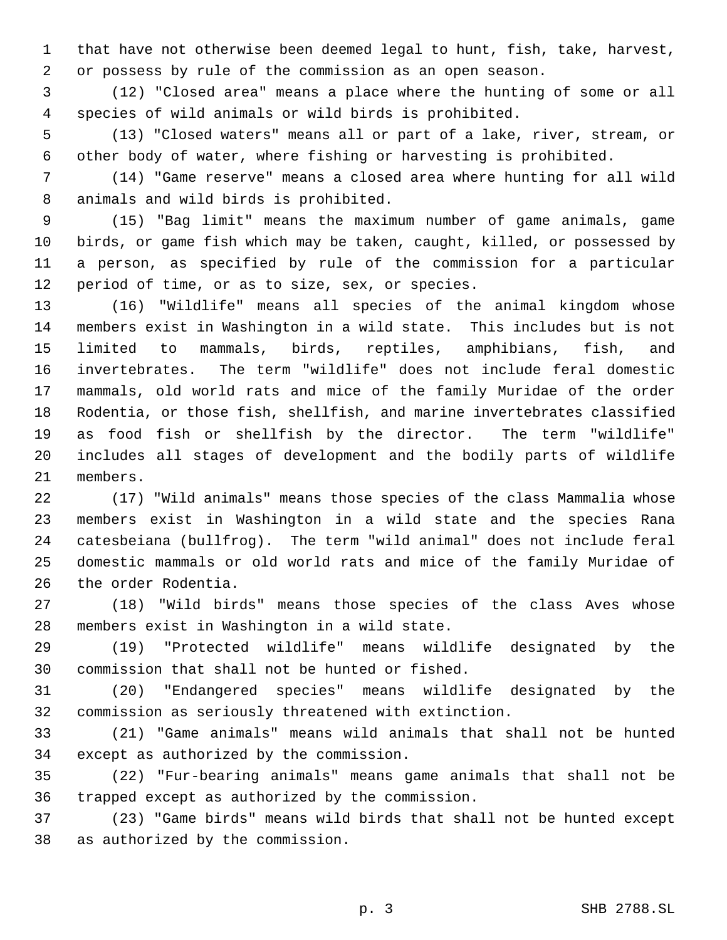that have not otherwise been deemed legal to hunt, fish, take, harvest, or possess by rule of the commission as an open season.

 (12) "Closed area" means a place where the hunting of some or all species of wild animals or wild birds is prohibited.

 (13) "Closed waters" means all or part of a lake, river, stream, or other body of water, where fishing or harvesting is prohibited.

 (14) "Game reserve" means a closed area where hunting for all wild animals and wild birds is prohibited.

 (15) "Bag limit" means the maximum number of game animals, game birds, or game fish which may be taken, caught, killed, or possessed by a person, as specified by rule of the commission for a particular period of time, or as to size, sex, or species.

 (16) "Wildlife" means all species of the animal kingdom whose members exist in Washington in a wild state. This includes but is not limited to mammals, birds, reptiles, amphibians, fish, and invertebrates. The term "wildlife" does not include feral domestic mammals, old world rats and mice of the family Muridae of the order Rodentia, or those fish, shellfish, and marine invertebrates classified as food fish or shellfish by the director. The term "wildlife" includes all stages of development and the bodily parts of wildlife members.

 (17) "Wild animals" means those species of the class Mammalia whose members exist in Washington in a wild state and the species Rana catesbeiana (bullfrog). The term "wild animal" does not include feral domestic mammals or old world rats and mice of the family Muridae of the order Rodentia.

 (18) "Wild birds" means those species of the class Aves whose members exist in Washington in a wild state.

 (19) "Protected wildlife" means wildlife designated by the commission that shall not be hunted or fished.

 (20) "Endangered species" means wildlife designated by the commission as seriously threatened with extinction.

 (21) "Game animals" means wild animals that shall not be hunted except as authorized by the commission.

 (22) "Fur-bearing animals" means game animals that shall not be trapped except as authorized by the commission.

 (23) "Game birds" means wild birds that shall not be hunted except as authorized by the commission.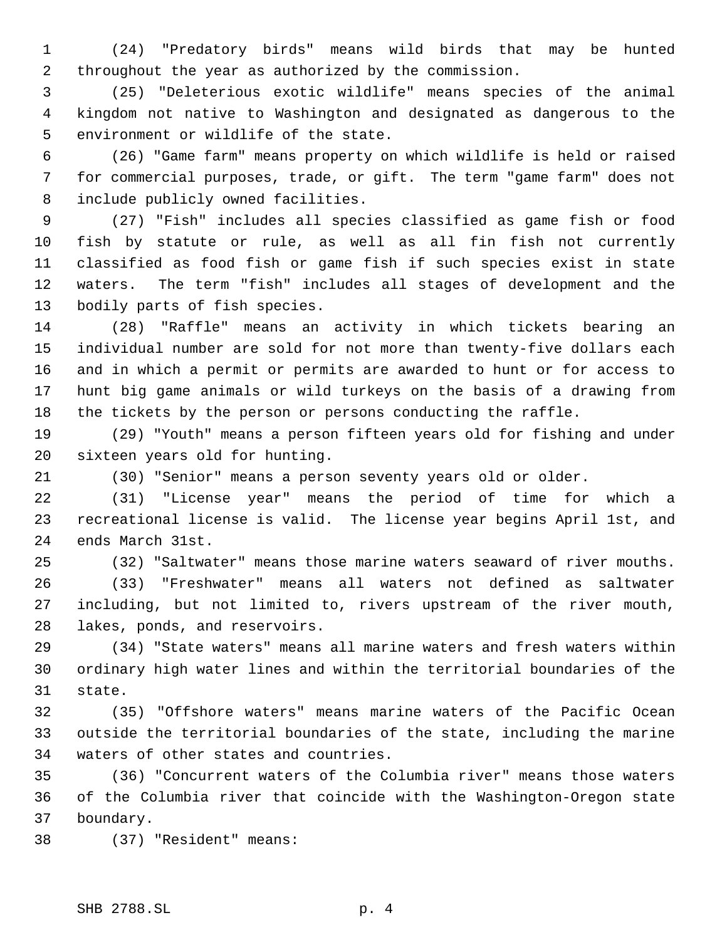(24) "Predatory birds" means wild birds that may be hunted throughout the year as authorized by the commission.

 (25) "Deleterious exotic wildlife" means species of the animal kingdom not native to Washington and designated as dangerous to the environment or wildlife of the state.

 (26) "Game farm" means property on which wildlife is held or raised for commercial purposes, trade, or gift. The term "game farm" does not include publicly owned facilities.

 (27) "Fish" includes all species classified as game fish or food fish by statute or rule, as well as all fin fish not currently classified as food fish or game fish if such species exist in state waters. The term "fish" includes all stages of development and the bodily parts of fish species.

 (28) "Raffle" means an activity in which tickets bearing an individual number are sold for not more than twenty-five dollars each and in which a permit or permits are awarded to hunt or for access to hunt big game animals or wild turkeys on the basis of a drawing from the tickets by the person or persons conducting the raffle.

 (29) "Youth" means a person fifteen years old for fishing and under sixteen years old for hunting.

(30) "Senior" means a person seventy years old or older.

 (31) "License year" means the period of time for which a recreational license is valid. The license year begins April 1st, and ends March 31st.

(32) "Saltwater" means those marine waters seaward of river mouths.

 (33) "Freshwater" means all waters not defined as saltwater including, but not limited to, rivers upstream of the river mouth, lakes, ponds, and reservoirs.

 (34) "State waters" means all marine waters and fresh waters within ordinary high water lines and within the territorial boundaries of the state.

 (35) "Offshore waters" means marine waters of the Pacific Ocean outside the territorial boundaries of the state, including the marine waters of other states and countries.

 (36) "Concurrent waters of the Columbia river" means those waters of the Columbia river that coincide with the Washington-Oregon state boundary.

(37) "Resident" means: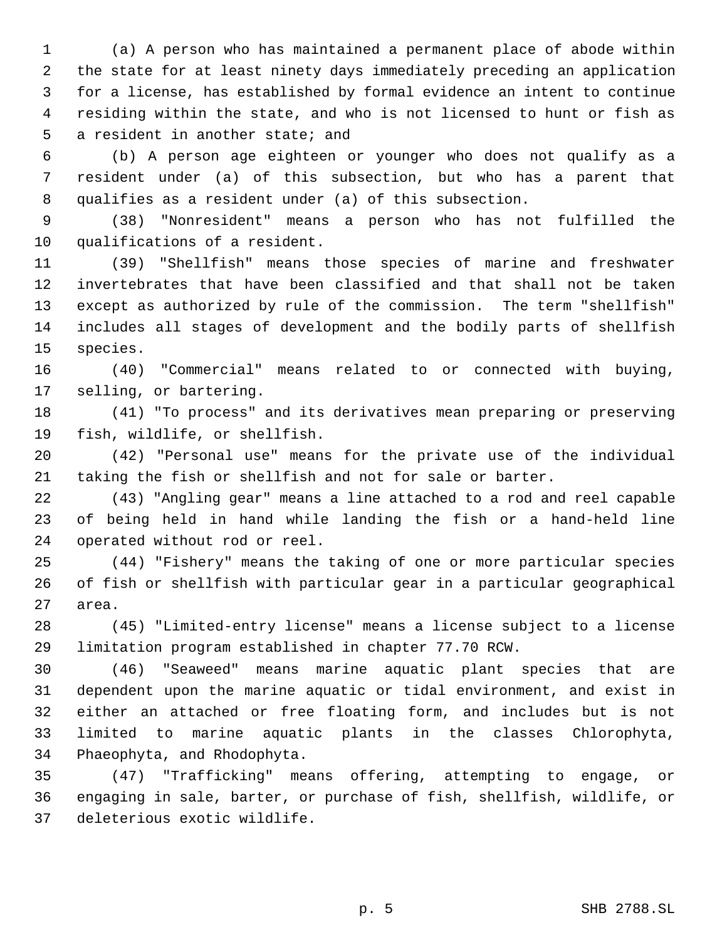(a) A person who has maintained a permanent place of abode within the state for at least ninety days immediately preceding an application for a license, has established by formal evidence an intent to continue residing within the state, and who is not licensed to hunt or fish as a resident in another state; and

 (b) A person age eighteen or younger who does not qualify as a resident under (a) of this subsection, but who has a parent that qualifies as a resident under (a) of this subsection.

 (38) "Nonresident" means a person who has not fulfilled the qualifications of a resident.

 (39) "Shellfish" means those species of marine and freshwater invertebrates that have been classified and that shall not be taken except as authorized by rule of the commission. The term "shellfish" includes all stages of development and the bodily parts of shellfish species.

 (40) "Commercial" means related to or connected with buying, selling, or bartering.

 (41) "To process" and its derivatives mean preparing or preserving fish, wildlife, or shellfish.

 (42) "Personal use" means for the private use of the individual taking the fish or shellfish and not for sale or barter.

 (43) "Angling gear" means a line attached to a rod and reel capable of being held in hand while landing the fish or a hand-held line operated without rod or reel.

 (44) "Fishery" means the taking of one or more particular species of fish or shellfish with particular gear in a particular geographical area.

 (45) "Limited-entry license" means a license subject to a license limitation program established in chapter 77.70 RCW.

 (46) "Seaweed" means marine aquatic plant species that are dependent upon the marine aquatic or tidal environment, and exist in either an attached or free floating form, and includes but is not limited to marine aquatic plants in the classes Chlorophyta, Phaeophyta, and Rhodophyta.

 (47) "Trafficking" means offering, attempting to engage, or engaging in sale, barter, or purchase of fish, shellfish, wildlife, or deleterious exotic wildlife.